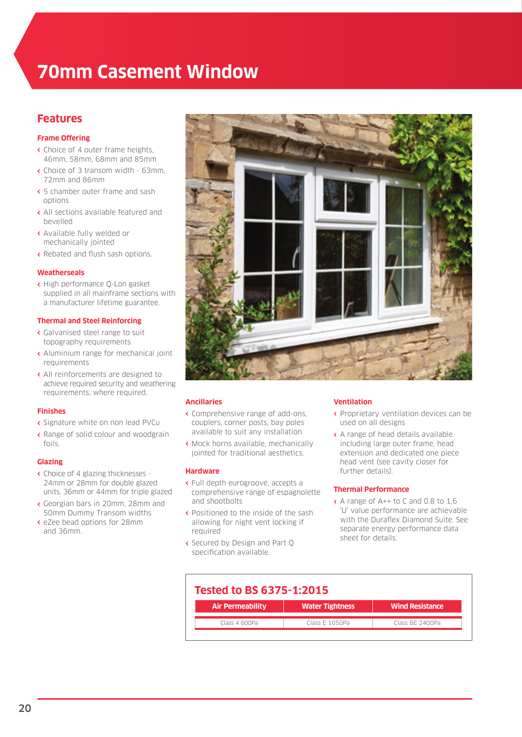# **70mm Casement Window**

# **Features**

# **Frame Offering**

- **‹** Choice of 4 outer frame heights, 46mm, 58mm, 68mm and 85mm
- **‹** Choice of 3 transom width 63mm, 72mm and 86mm
- **‹** 5 chamber outer frame and sash options
- **‹** All sections available featured and bevelled
- **‹** Available fully welded or mechanically jointed
- **‹** Rebated and flush sash options.

## **Weatherseals**

**‹** High performance Q-Lon gasket supplied in all mainframe sections with a manufacturer lifetime guarantee.

## **Thermal and Steel Reinforcing**

- **‹** Galvanised steel range to suit topography requirements
- **‹** Aluminium range for mechanical joint requirements
- **‹** All reinforcements are designed to achieve required security and weathering requirements, where required.

#### **Finishes**

- **‹** Signature white on non lead PVCu
- **‹** Range of solid colour and woodgrain foils.

#### **Glazing**

- **‹** Choice of 4 glazing thicknesses 24mm or 28mm for double glazed units. 36mm or 44mm for triple glazed
- **‹** Georgian bars in 20mm, 28mm and 50mm Dummy Transom widths
- **‹** eZee bead options for 28mm and 36mm.



## **Ancillaries**

- **‹** Comprehensive range of add-ons, couplers, corner posts, bay poles available to suit any installation
- **‹** Mock horns available, mechanically jointed for traditional aesthetics.

#### **Hardware**

- **‹** Full depth eurogroove, accepts a comprehensive range of espagnolette and shootbolts
- **‹** Positioned to the inside of the sash allowing for night vent locking if required
- **‹** Secured by Design and Part Q specification available.

#### **Ventilation**

- **‹** Proprietary ventilation devices can be used on all designs
- **‹** A range of head details available including large outer frame, head extension and dedicated one piece head vent (see cavity closer for further details).

#### **Thermal Performance**

**‹** A range of A++ to C and 0.8 to 1.6 'U' value performance are achievable with the Duraflex Diamond Suite. See separate energy performance data sheet for details.

| <b>Tested to BS 6375-1:2015</b> |                        |  |
|---------------------------------|------------------------|--|
| <b>Water Tightness</b>          | <b>Wind Resistance</b> |  |
| Class E 1050Pa                  | Class BE 2400Pa        |  |
|                                 |                        |  |